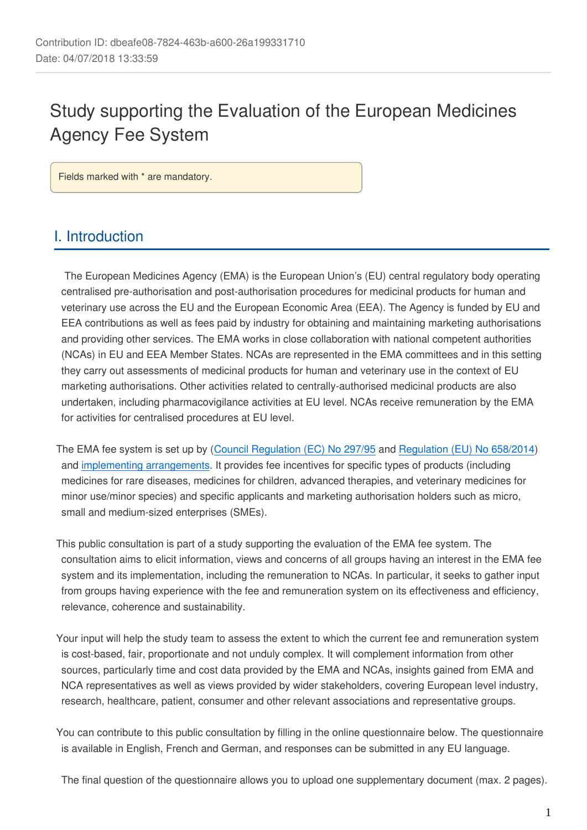# Study supporting the Evaluation of the European Medicines Agency Fee System

Fields marked with \* are mandatory.

## I. Introduction

 The European Medicines Agency (EMA) is the European Union's (EU) central regulatory body operating centralised pre-authorisation and post-authorisation procedures for medicinal products for human and veterinary use across the EU and the European Economic Area (EEA). The Agency is funded by EU and EEA contributions as well as fees paid by industry for obtaining and maintaining marketing authorisations and providing other services. The EMA works in close collaboration with national competent authorities (NCAs) in EU and EEA Member States. NCAs are represented in the EMA committees and in this setting they carry out assessments of medicinal products for human and veterinary use in the context of EU marketing authorisations. Other activities related to centrally-authorised medicinal products are also undertaken, including pharmacovigilance activities at EU level. NCAs receive remuneration by the EMA for activities for centralised procedures at EU level.

The EMA fee system is set up by ([Council Regulation \(EC\) No 297/95](http://eur-lex.europa.eu/legal-content/EN/TXT/?uri=CELEX:01995R0297-20170401) and [Regulation \(EU\) No 658/2014](http://eur-lex.europa.eu/legal-content/EN/TXT/?uri=CELEX:02014R0658-20180212)) and [implementing arrangements.](http://www.ema.europa.eu/ema/index.jsp?curl=pages/regulation/document_listing/document_listing_000327.jsp) It provides fee incentives for specific types of products (including medicines for rare diseases, medicines for children, advanced therapies, and veterinary medicines for minor use/minor species) and specific applicants and marketing authorisation holders such as micro, small and medium-sized enterprises (SMEs).

This public consultation is part of a study supporting the evaluation of the EMA fee system. The consultation aims to elicit information, views and concerns of all groups having an interest in the EMA fee system and its implementation, including the remuneration to NCAs. In particular, it seeks to gather input from groups having experience with the fee and remuneration system on its effectiveness and efficiency, relevance, coherence and sustainability.

Your input will help the study team to assess the extent to which the current fee and remuneration system is cost-based, fair, proportionate and not unduly complex. It will complement information from other sources, particularly time and cost data provided by the EMA and NCAs, insights gained from EMA and NCA representatives as well as views provided by wider stakeholders, covering European level industry, research, healthcare, patient, consumer and other relevant associations and representative groups.

You can contribute to this public consultation by filling in the online questionnaire below. The questionnaire is available in English, French and German, and responses can be submitted in any EU language.

The final question of the questionnaire allows you to upload one supplementary document (max. 2 pages).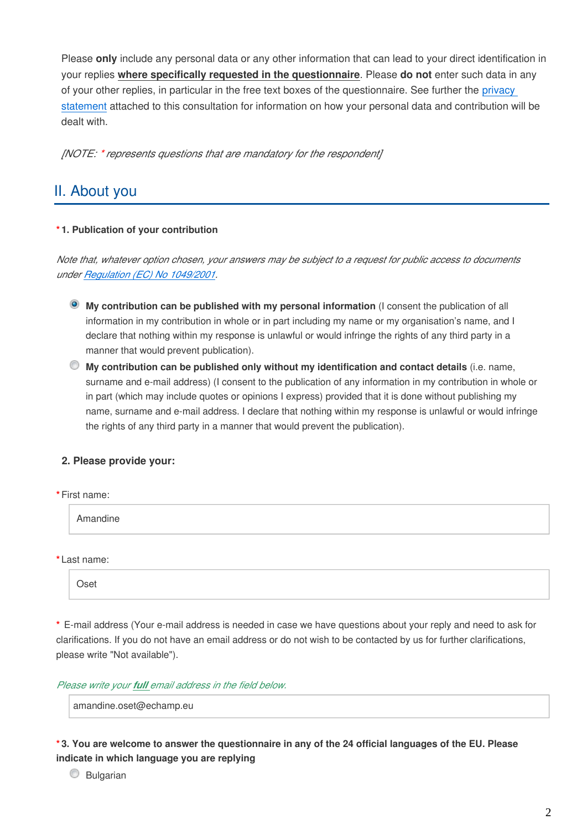Please **only** include any personal data or any other information that can lead to your direct identification in your replies **where specifically requested in the questionnaire**. Please **do not** enter such data in any of your other replies, in particular in the free text boxes of the questionnaire. See further the [privacy](https://ec.europa.eu/health/sites/health/files/files/advtherapies/docs/2018_emafee_consultation_ps_en.pdf)  [statement](https://ec.europa.eu/health/sites/health/files/files/advtherapies/docs/2018_emafee_consultation_ps_en.pdf) attached to this consultation for information on how your personal data and contribution will be dealt with.

*[NOTE: \* represents questions that are mandatory for the respondent]*

## II. About you

#### **\* 1. Publication of your contribution**

*Note that, whatever option chosen, your answers may be subject to a request for public access to documents under [Regulation \(EC\) No 1049/2001](http://eur-lex.europa.eu/legal-content/EN/TXT/?qid=1519725772762&uri=CELEX:32001R1049).*

- **My contribution can be published with my personal information** (I consent the publication of all information in my contribution in whole or in part including my name or my organisation's name, and I declare that nothing within my response is unlawful or would infringe the rights of any third party in a manner that would prevent publication).
- **My contribution can be published only without my identification and contact details** (i.e. name, surname and e-mail address) (I consent to the publication of any information in my contribution in whole or in part (which may include quotes or opinions I express) provided that it is done without publishing my name, surname and e-mail address. I declare that nothing within my response is unlawful or would infringe the rights of any third party in a manner that would prevent the publication).

### **2. Please provide your:**

| *First name: |  |  |
|--------------|--|--|
| Amandine     |  |  |
| *Last name:  |  |  |

**\*** E-mail address (Your e-mail address is needed in case we have questions about your reply and need to ask for clarifications. If you do not have an email address or do not wish to be contacted by us for further clarifications, please write "Not available").

*Please write your full email address in the field below.*

amandine.oset@echamp.eu

**\* 3. You are welcome to answer the questionnaire in any of the 24 official languages of the EU. Please indicate in which language you are replying**

C Bulgarian

Oset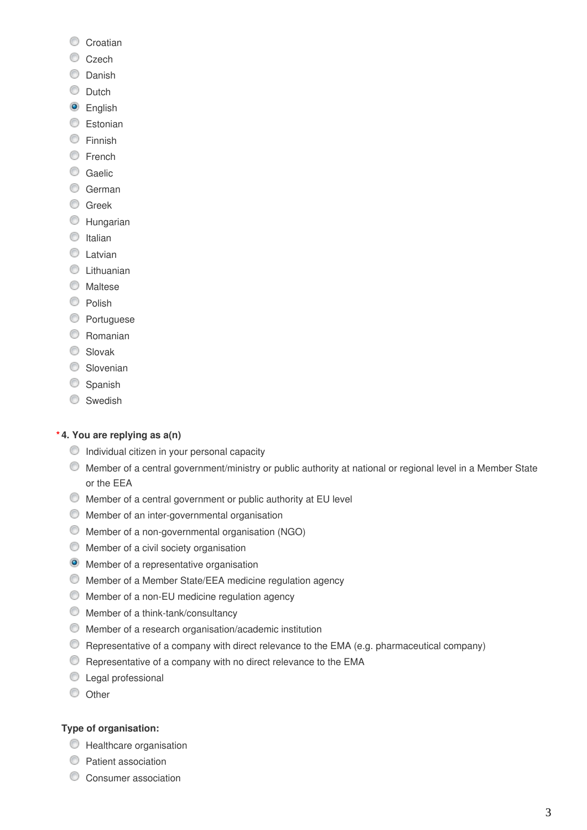- Croatian
- C<sub>zech</sub>
- C Danish
- C Dutch
- **O** English
- **Estonian**
- **Einnish**
- **E**rench
- C Gaelic
- C German
- **C** Greek
- **C** Hungarian
- $\circ$  Italian
- C Latvian
- **C** Lithuanian
- **O** Maltese
- C Polish
- **C** Portuguese
- C Romanian
- C Slovak
- Slovenian
- Spanish
- Swedish

#### **\* 4. You are replying as a(n)**

- $\bullet$  Individual citizen in your personal capacity
- Member of a central government/ministry or public authority at national or regional level in a Member State or the EEA
- Member of a central government or public authority at EU level
- Member of an inter-governmental organisation
- Member of a non-governmental organisation (NGO)
- $\bullet$  Member of a civil society organisation
- **O** Member of a representative organisation
- Member of a Member State/EEA medicine regulation agency
- Member of a non-EU medicine regulation agency
- Member of a think-tank/consultancy
- Member of a research organisation/academic institution
- Representative of a company with direct relevance to the EMA (e.g. pharmaceutical company)
- **C** Representative of a company with no direct relevance to the EMA
- **C** Legal professional
- © Other

#### **Type of organisation:**

- **C** Healthcare organisation
- **Patient association**
- C Consumer association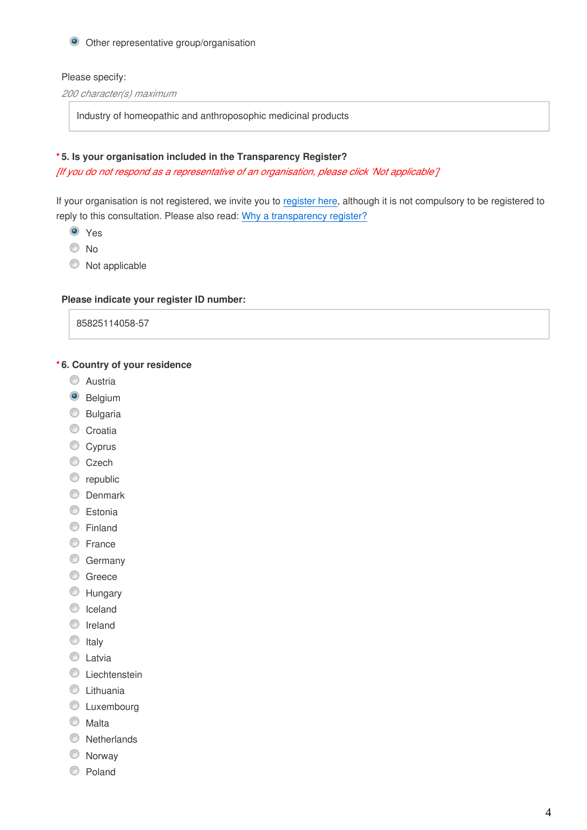#### Other representative group/organisation

#### Please specify:

*200 character(s) maximum*

Industry of homeopathic and anthroposophic medicinal products

#### **\* 5. Is your organisation included in the Transparency Register?**

*[If you do not respond as a representative of an organisation, please click 'Not applicable']*

If your organisation is not registered, we invite you to [register here](http://ec.europa.eu/transparencyregister/public/homePage.do?locale=en), although it is not compulsory to be registered to reply to this consultation. Please also read: [Why a transparency register?](http://ec.europa.eu/transparencyregister/public/staticPage/displayStaticPage.do?locale=en&reference=WHY_TRANSPARENCY_REGISTER)

- **O** Yes
- O No
- $\bullet$  Not applicable

#### **Please indicate your register ID number:**

85825114058-57

#### **\* 6. Country of your residence**

- C Austria
- <sup>O</sup> Belgium
- C Bulgaria
- Croatia
- Cyprus
- Czech
- correpublic
- **O** Denmark
- C Estonia
- **C** Finland
- **E**rance
- C Germany
- C Greece
- **Hungary**
- C Iceland
- **O** Ireland
- $\circ$  Italy
- **C** Latvia
- **C** Liechtenstein
- **C** Lithuania
- **C** Luxembourg
- C Malta
- **Netherlands**
- **Norway**
- C Poland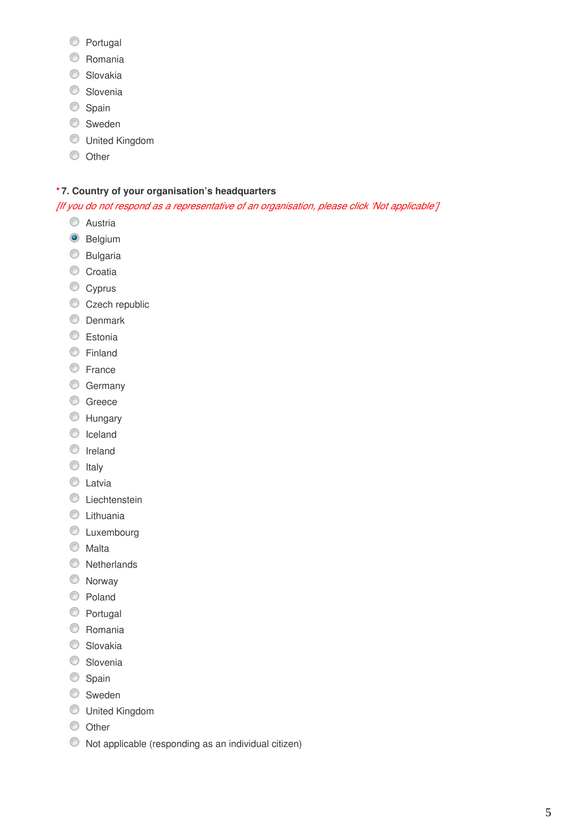- **Portugal**
- Romania
- C Slovakia
- **Slovenia**
- Spain
- **Sweden**
- United Kingdom
- **O** Other

#### **\* 7. Country of your organisation's headquarters**

*[If you do not respond as a representative of an organisation, please click 'Not applicable']*

- **C** Austria
- <sup>O</sup> Belgium
- **Bulgaria**
- Croatia
- Cyprus
- Czech republic
- **O** Denmark
- **C** Estonia
- **Einland**
- **C** France
- C Germany
- C Greece
- **Hungary**
- C Iceland
- **O** Ireland
- $\circ$  Italy
- C Latvia
- **C** Liechtenstein
- **C** Lithuania
- **C** Luxembourg
- **Malta**
- **Netherlands**
- **Norway**
- C Poland
- **Portugal**
- Romania
- Slovakia
- **Slovenia**
- Spain
- Sweden
- United Kingdom
- **O** Other
- Not applicable (responding as an individual citizen)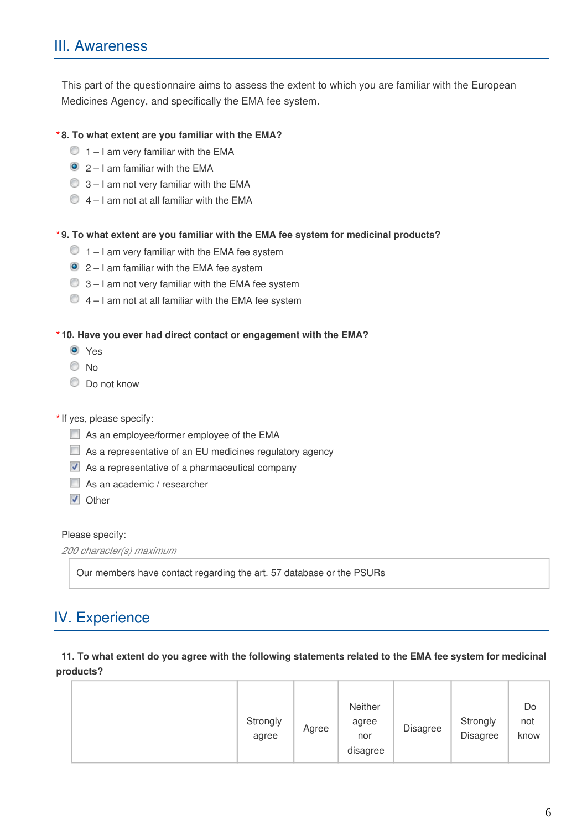This part of the questionnaire aims to assess the extent to which you are familiar with the European Medicines Agency, and specifically the EMA fee system.

#### **\* 8. To what extent are you familiar with the EMA?**

- $\bigcirc$  1 I am very familiar with the EMA
- $\bullet$  2 I am familiar with the EMA
- $\bigcirc$  3 I am not very familiar with the EMA
- $\bigcirc$  4 I am not at all familiar with the EMA

#### **\* 9. To what extent are you familiar with the EMA fee system for medicinal products?**

- $\bigcirc$  1 I am very familiar with the EMA fee system
- $\bullet$  2 I am familiar with the EMA fee system
- $\bigcirc$  3 I am not very familiar with the EMA fee system
- $\bigcirc$  4 I am not at all familiar with the EMA fee system

#### **\* 10. Have you ever had direct contact or engagement with the EMA?**

- **O** Yes
- © No
- $\bullet$  Do not know

#### **\***If yes, please specify:

- As an employee/former employee of the EMA
- As a representative of an EU medicines regulatory agency
- As a representative of a pharmaceutical company
- As an academic / researcher
- **V** Other

#### Please specify:

```
200 character(s) maximum
```
Our members have contact regarding the art. 57 database or the PSURs

## IV. Experience

#### **11. To what extent do you agree with the following statements related to the EMA fee system for medicinal products?**

|  | Strongly<br>agree | Agree | Neither<br>agree<br>nor<br>disagree | Disagree | Strongly<br><b>Disagree</b> | Do<br>not<br>know |
|--|-------------------|-------|-------------------------------------|----------|-----------------------------|-------------------|
|--|-------------------|-------|-------------------------------------|----------|-----------------------------|-------------------|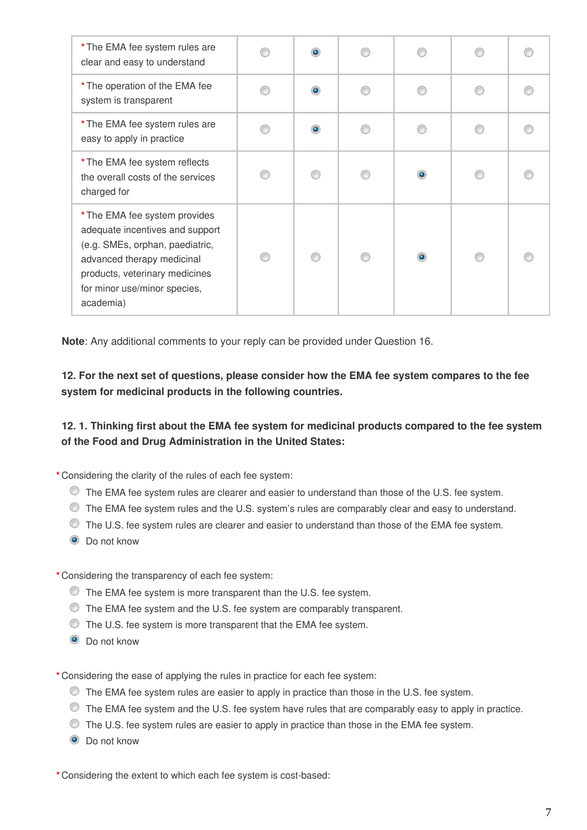| * The EMA fee system rules are<br>clear and easy to understand                                                                                                                                                   | $\bullet$ |                |  |
|------------------------------------------------------------------------------------------------------------------------------------------------------------------------------------------------------------------|-----------|----------------|--|
| * The operation of the EMA fee<br>system is transparent                                                                                                                                                          | $\bullet$ | ß              |  |
| * The EMA fee system rules are<br>easy to apply in practice                                                                                                                                                      | $\bullet$ | ∩              |  |
| * The EMA fee system reflects<br>the overall costs of the services<br>charged for                                                                                                                                | ∩         | $\bullet$      |  |
| * The EMA fee system provides<br>adequate incentives and support<br>(e.g. SMEs, orphan, paediatric,<br>advanced therapy medicinal<br>products, veterinary medicines<br>for minor use/minor species,<br>academia) |           | $\circledcirc$ |  |

**Note**: Any additional comments to your reply can be provided under Question 16.

## **12. For the next set of questions, please consider how the EMA fee system compares to the fee system for medicinal products in the following countries.**

## **12. 1. Thinking first about the EMA fee system for medicinal products compared to the fee system of the Food and Drug Administration in the United States:**

**\*** Considering the clarity of the rules of each fee system:

- The EMA fee system rules are clearer and easier to understand than those of the U.S. fee system.
- The EMA fee system rules and the U.S. system's rules are comparably clear and easy to understand.
- The U.S. fee system rules are clearer and easier to understand than those of the EMA fee system.
- **O** Do not know

**\*** Considering the transparency of each fee system:

- The EMA fee system is more transparent than the U.S. fee system.
- The EMA fee system and the U.S. fee system are comparably transparent.
- The U.S. fee system is more transparent that the EMA fee system.
- **O** Do not know

**\*** Considering the ease of applying the rules in practice for each fee system:

- The EMA fee system rules are easier to apply in practice than those in the U.S. fee system.
- The EMA fee system and the U.S. fee system have rules that are comparably easy to apply in practice.
- The U.S. fee system rules are easier to apply in practice than those in the EMA fee system.
- **O** Do not know

**\*** Considering the extent to which each fee system is cost-based: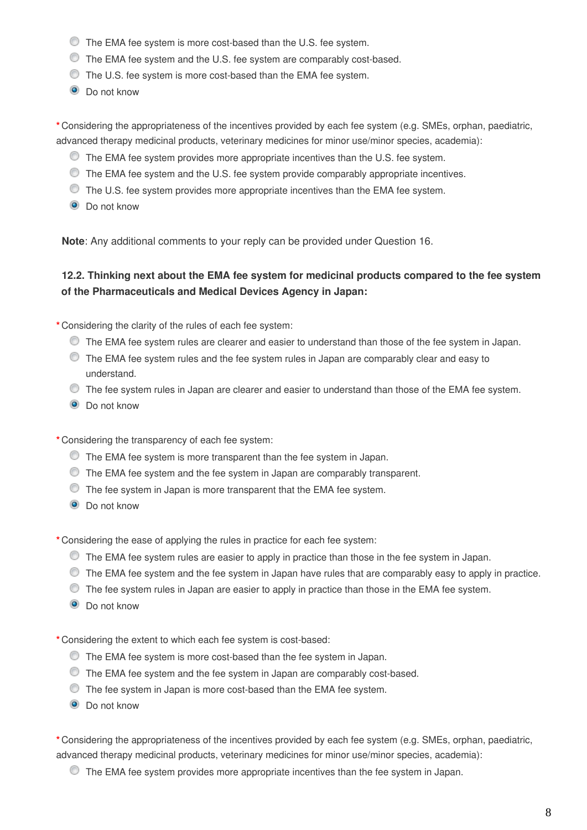- The EMA fee system is more cost-based than the U.S. fee system.
- The EMA fee system and the U.S. fee system are comparably cost-based.
- $\bullet$  The U.S. fee system is more cost-based than the EMA fee system.
- **O** Do not know

**\*** Considering the appropriateness of the incentives provided by each fee system (e.g. SMEs, orphan, paediatric, advanced therapy medicinal products, veterinary medicines for minor use/minor species, academia):

- The EMA fee system provides more appropriate incentives than the U.S. fee system.
- $\bullet$  The EMA fee system and the U.S. fee system provide comparably appropriate incentives.
- The U.S. fee system provides more appropriate incentives than the EMA fee system.
- **O** Do not know

**Note**: Any additional comments to your reply can be provided under Question 16.

## **12.2. Thinking next about the EMA fee system for medicinal products compared to the fee system of the Pharmaceuticals and Medical Devices Agency in Japan:**

**\*** Considering the clarity of the rules of each fee system:

- The EMA fee system rules are clearer and easier to understand than those of the fee system in Japan.
- The EMA fee system rules and the fee system rules in Japan are comparably clear and easy to understand.
- $\bullet$  The fee system rules in Japan are clearer and easier to understand than those of the EMA fee system.
- $\odot$  Do not know
- **\*** Considering the transparency of each fee system:
	- The EMA fee system is more transparent than the fee system in Japan.
	- The EMA fee system and the fee system in Japan are comparably transparent.
	- The fee system in Japan is more transparent that the EMA fee system.
	- **O** Do not know

**\*** Considering the ease of applying the rules in practice for each fee system:

- The EMA fee system rules are easier to apply in practice than those in the fee system in Japan.
- The EMA fee system and the fee system in Japan have rules that are comparably easy to apply in practice.
- $\bullet$  The fee system rules in Japan are easier to apply in practice than those in the EMA fee system.
- **O** Do not know

**\*** Considering the extent to which each fee system is cost-based:

- The EMA fee system is more cost-based than the fee system in Japan.
- The EMA fee system and the fee system in Japan are comparably cost-based.
- The fee system in Japan is more cost-based than the EMA fee system.
- **O** Do not know

**\*** Considering the appropriateness of the incentives provided by each fee system (e.g. SMEs, orphan, paediatric, advanced therapy medicinal products, veterinary medicines for minor use/minor species, academia):

The EMA fee system provides more appropriate incentives than the fee system in Japan.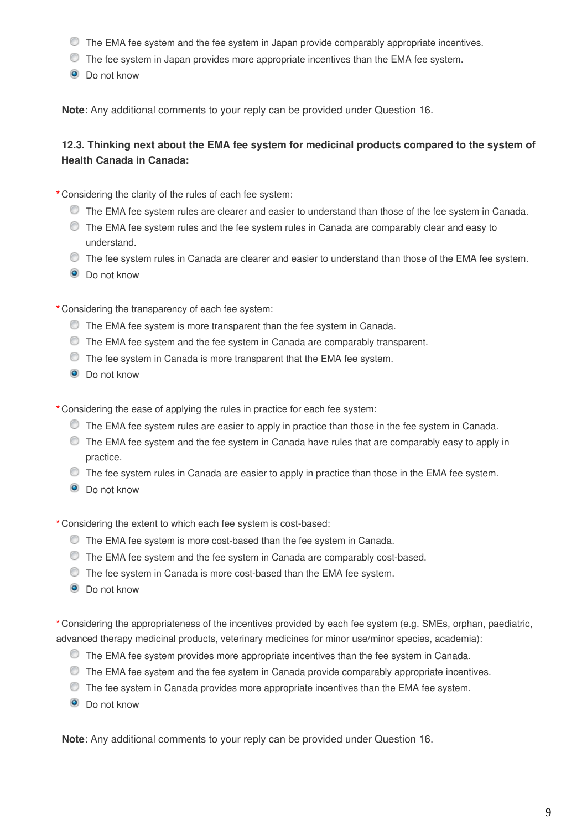- The EMA fee system and the fee system in Japan provide comparably appropriate incentives.
- The fee system in Japan provides more appropriate incentives than the EMA fee system.
- **O** Do not know

**Note**: Any additional comments to your reply can be provided under Question 16.

## **12.3. Thinking next about the EMA fee system for medicinal products compared to the system of Health Canada in Canada:**

**\*** Considering the clarity of the rules of each fee system:

- The EMA fee system rules are clearer and easier to understand than those of the fee system in Canada.
- The EMA fee system rules and the fee system rules in Canada are comparably clear and easy to understand.
- $\bullet$  The fee system rules in Canada are clearer and easier to understand than those of the EMA fee system.
- **O** Do not know

**\*** Considering the transparency of each fee system:

- The EMA fee system is more transparent than the fee system in Canada.
- The EMA fee system and the fee system in Canada are comparably transparent.
- The fee system in Canada is more transparent that the EMA fee system.
- **O** Do not know

**\*** Considering the ease of applying the rules in practice for each fee system:

- The EMA fee system rules are easier to apply in practice than those in the fee system in Canada.
- $\bullet$  The EMA fee system and the fee system in Canada have rules that are comparably easy to apply in practice.
- $\bullet$  The fee system rules in Canada are easier to apply in practice than those in the EMA fee system.
- **O** Do not know

**\*** Considering the extent to which each fee system is cost-based:

- The EMA fee system is more cost-based than the fee system in Canada.
- The EMA fee system and the fee system in Canada are comparably cost-based.
- The fee system in Canada is more cost-based than the EMA fee system.
- **O** Do not know

**\*** Considering the appropriateness of the incentives provided by each fee system (e.g. SMEs, orphan, paediatric, advanced therapy medicinal products, veterinary medicines for minor use/minor species, academia):

- $\bullet$  The EMA fee system provides more appropriate incentives than the fee system in Canada.
- The EMA fee system and the fee system in Canada provide comparably appropriate incentives.
- The fee system in Canada provides more appropriate incentives than the EMA fee system.
- **O** Do not know

**Note**: Any additional comments to your reply can be provided under Question 16.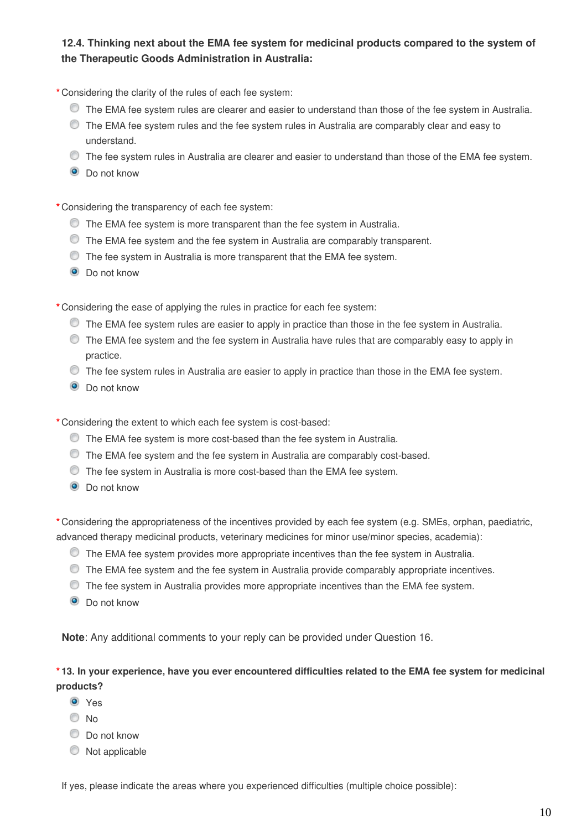## **12.4. Thinking next about the EMA fee system for medicinal products compared to the system of the Therapeutic Goods Administration in Australia:**

**\*** Considering the clarity of the rules of each fee system:

- The EMA fee system rules are clearer and easier to understand than those of the fee system in Australia.
- $\bullet$  The EMA fee system rules and the fee system rules in Australia are comparably clear and easy to understand.
- The fee system rules in Australia are clearer and easier to understand than those of the EMA fee system.
- **O** Do not know

**\*** Considering the transparency of each fee system:

- The EMA fee system is more transparent than the fee system in Australia.
- The EMA fee system and the fee system in Australia are comparably transparent.
- The fee system in Australia is more transparent that the EMA fee system.
- **O** Do not know

**\*** Considering the ease of applying the rules in practice for each fee system:

- The EMA fee system rules are easier to apply in practice than those in the fee system in Australia.
- The EMA fee system and the fee system in Australia have rules that are comparably easy to apply in practice.
- The fee system rules in Australia are easier to apply in practice than those in the EMA fee system.
- <sup>O</sup> Do not know
- **\*** Considering the extent to which each fee system is cost-based:
	- The EMA fee system is more cost-based than the fee system in Australia.
	- The EMA fee system and the fee system in Australia are comparably cost-based.
	- The fee system in Australia is more cost-based than the EMA fee system.
	- $\bullet$  Do not know

**\*** Considering the appropriateness of the incentives provided by each fee system (e.g. SMEs, orphan, paediatric, advanced therapy medicinal products, veterinary medicines for minor use/minor species, academia):

- The EMA fee system provides more appropriate incentives than the fee system in Australia.
- $\bullet$  The EMA fee system and the fee system in Australia provide comparably appropriate incentives.
- The fee system in Australia provides more appropriate incentives than the EMA fee system.
- **O** Do not know

**Note**: Any additional comments to your reply can be provided under Question 16.

#### **\* 13. In your experience, have you ever encountered difficulties related to the EMA fee system for medicinal products?**

- **O** Yes
- © No
- $\bullet$  Do not know
- $\bullet$  Not applicable

If yes, please indicate the areas where you experienced difficulties (multiple choice possible):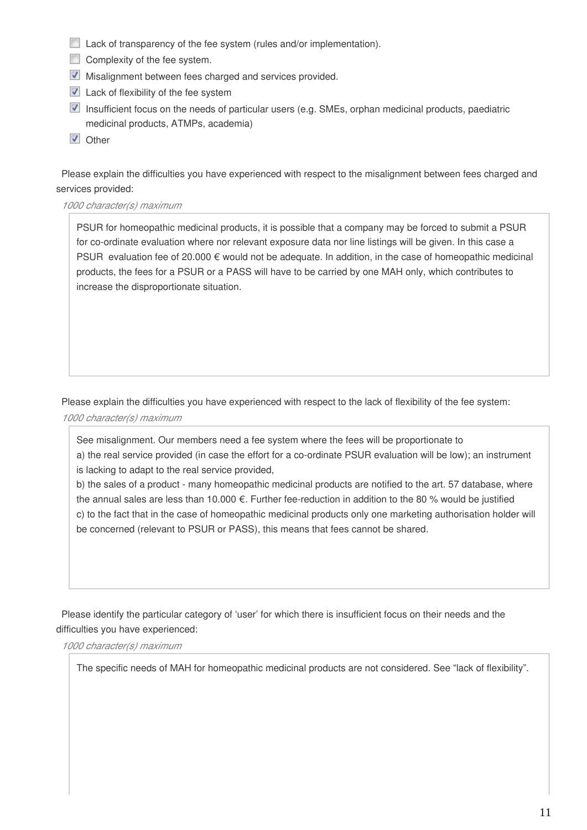- **Lack of transparency of the fee system (rules and/or implementation).**
- $\Box$  Complexity of the fee system.
- **Misalignment between fees charged and services provided.**
- $\triangledown$  Lack of flexibility of the fee system
- $\blacksquare$  Insufficient focus on the needs of particular users (e.g. SMEs, orphan medicinal products, paediatric medicinal products, ATMPs, academia)
- **V** Other

Please explain the difficulties you have experienced with respect to the misalignment between fees charged and services provided:

*1000 character(s) maximum*

PSUR for homeopathic medicinal products, it is possible that a company may be forced to submit a PSUR for co-ordinate evaluation where nor relevant exposure data nor line listings will be given. In this case a PSUR evaluation fee of 20.000 € would not be adequate. In addition, in the case of homeopathic medicinal products, the fees for a PSUR or a PASS will have to be carried by one MAH only, which contributes to increase the disproportionate situation.

Please explain the difficulties you have experienced with respect to the lack of flexibility of the fee system: *1000 character(s) maximum*

See misalignment. Our members need a fee system where the fees will be proportionate to a) the real service provided (in case the effort for a co-ordinate PSUR evaluation will be low); an instrument is lacking to adapt to the real service provided,

b) the sales of a product - many homeopathic medicinal products are notified to the art. 57 database, where the annual sales are less than 10.000 €. Further fee-reduction in addition to the 80 % would be justified c) to the fact that in the case of homeopathic medicinal products only one marketing authorisation holder will be concerned (relevant to PSUR or PASS), this means that fees cannot be shared.

Please identify the particular category of 'user' for which there is insufficient focus on their needs and the difficulties you have experienced:

*1000 character(s) maximum*

The specific needs of MAH for homeopathic medicinal products are not considered. See "lack of flexibility".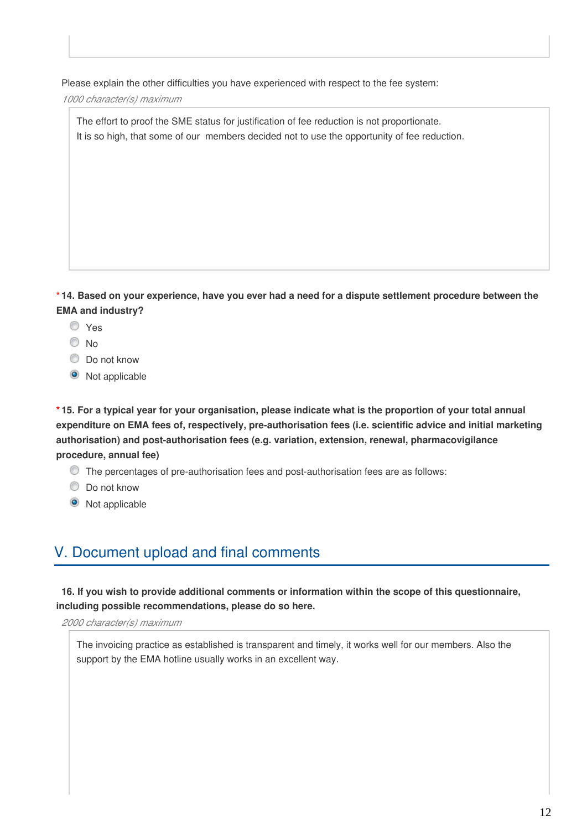Please explain the other difficulties you have experienced with respect to the fee system:

*1000 character(s) maximum*

The effort to proof the SME status for justification of fee reduction is not proportionate. It is so high, that some of our members decided not to use the opportunity of fee reduction.

**\* 14. Based on your experience, have you ever had a need for a dispute settlement procedure between the EMA and industry?**

- Yes
- O No
- $\bullet$  Do not know
- $\bullet$  Not applicable

**\* 15. For a typical year for your organisation, please indicate what is the proportion of your total annual expenditure on EMA fees of, respectively, pre-authorisation fees (i.e. scientific advice and initial marketing authorisation) and post-authorisation fees (e.g. variation, extension, renewal, pharmacovigilance procedure, annual fee)**

- The percentages of pre-authorisation fees and post-authorisation fees are as follows:
- $\bullet$  Do not know
- <sup>O</sup> Not applicable

## V. Document upload and final comments

**16. If you wish to provide additional comments or information within the scope of this questionnaire, including possible recommendations, please do so here.**

*2000 character(s) maximum*

The invoicing practice as established is transparent and timely, it works well for our members. Also the support by the EMA hotline usually works in an excellent way.